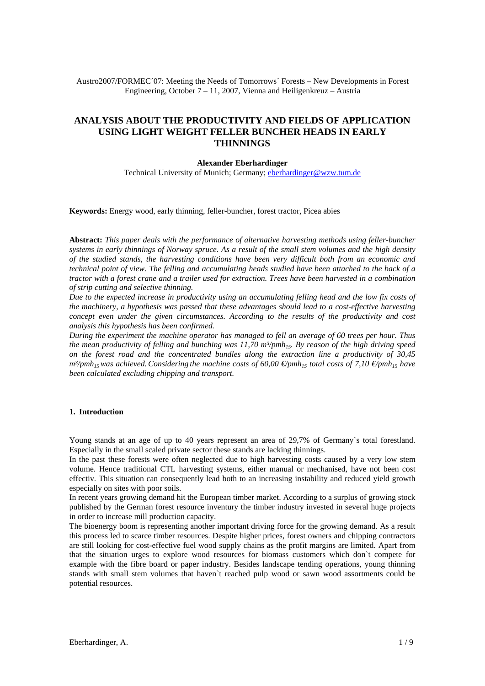Austro2007/FORMEC´07: Meeting the Needs of Tomorrows´ Forests – New Developments in Forest Engineering, October 7 – 11, 2007, Vienna and Heiligenkreuz – Austria

# **ANALYSIS ABOUT THE PRODUCTIVITY AND FIELDS OF APPLICATION USING LIGHT WEIGHT FELLER BUNCHER HEADS IN EARLY THINNINGS**

#### **Alexander Eberhardinger**

Technical University of Munich; Germany; eberhardinger@wzw.tum.de

**Keywords:** Energy wood, early thinning, feller-buncher, forest tractor, Picea abies

**Abstract:** *This paper deals with the performance of alternative harvesting methods using feller-buncher systems in early thinnings of Norway spruce. As a result of the small stem volumes and the high density of the studied stands, the harvesting conditions have been very difficult both from an economic and technical point of view. The felling and accumulating heads studied have been attached to the back of a tractor with a forest crane and a trailer used for extraction. Trees have been harvested in a combination of strip cutting and selective thinning.* 

*Due to the expected increase in productivity using an accumulating felling head and the low fix costs of the machinery, a hypothesis was passed that these advantages should lead to a cost-effective harvesting concept even under the given circumstances. According to the results of the productivity and cost analysis this hypothesis has been confirmed.* 

*During the experiment the machine operator has managed to fell an average of 60 trees per hour. Thus the mean productivity of felling and bunching was 11,70 m<sup>3</sup>/pmh<sub>15</sub>. By reason of the high driving speed on the forest road and the concentrated bundles along the extraction line a productivity of 30,45 m<sup>3</sup>/pmh<sub>15</sub> was achieved. Considering the machine costs of 60,00 €/pmh<sub>15</sub> total costs of 7,10 €/pmh<sub>15</sub> have been calculated excluding chipping and transport.* 

# **1. Introduction**

Young stands at an age of up to 40 years represent an area of 29,7% of Germany's total forestland. Especially in the small scaled private sector these stands are lacking thinnings.

In the past these forests were often neglected due to high harvesting costs caused by a very low stem volume. Hence traditional CTL harvesting systems, either manual or mechanised, have not been cost effectiv. This situation can consequently lead both to an increasing instability and reduced yield growth especially on sites with poor soils.

In recent years growing demand hit the European timber market. According to a surplus of growing stock published by the German forest resource inventury the timber industry invested in several huge projects in order to increase mill production capacity.

The bioenergy boom is representing another important driving force for the growing demand. As a result this process led to scarce timber resources. Despite higher prices, forest owners and chipping contractors are still looking for cost-effective fuel wood supply chains as the profit margins are limited. Apart from that the situation urges to explore wood resources for biomass customers which don`t compete for example with the fibre board or paper industry. Besides landscape tending operations, young thinning stands with small stem volumes that haven`t reached pulp wood or sawn wood assortments could be potential resources.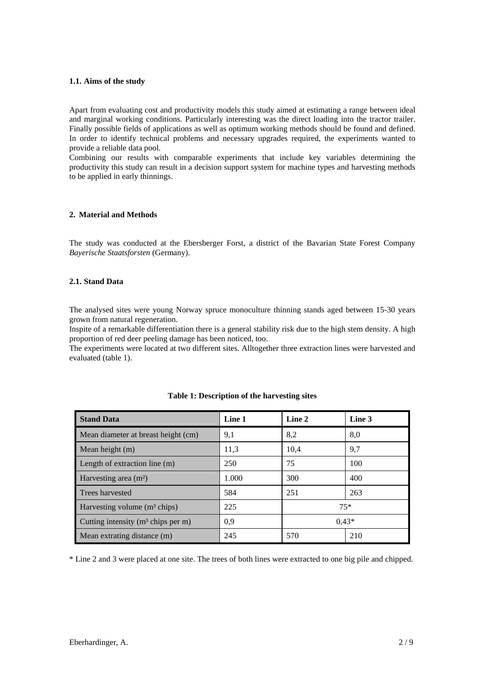# **1.1. Aims of the study**

Apart from evaluating cost and productivity models this study aimed at estimating a range between ideal and marginal working conditions. Particularly interesting was the direct loading into the tractor trailer. Finally possible fields of applications as well as optimum working methods should be found and defined. In order to identify technical problems and necessary upgrades required, the experiments wanted to provide a reliable data pool.

Combining our results with comparable experiments that include key variables determining the productivity this study can result in a decision support system for machine types and harvesting methods to be applied in early thinnings.

### **2. Material and Methods**

The study was conducted at the Ebersberger Forst, a district of the Bavarian State Forest Company *Bayerische Staatsforsten* (Germany).

# **2.1. Stand Data**

The analysed sites were young Norway spruce monoculture thinning stands aged between 15-30 years grown from natural regeneration.

Inspite of a remarkable differentiation there is a general stability risk due to the high stem density. A high proportion of red deer peeling damage has been noticed, too.

The experiments were located at two different sites. Alltogether three extraction lines were harvested and evaluated (table 1).

| <b>Stand Data</b>                       | Line 1 | Line 2  | Line 3 |
|-----------------------------------------|--------|---------|--------|
| Mean diameter at breast height (cm)     | 9,1    | 8,2     | 8,0    |
| Mean height (m)                         | 11,3   | 10.4    | 9,7    |
| Length of extraction line (m)           | 250    | 75      | 100    |
| Harvesting area $(m2)$                  | 1.000  | 300     | 400    |
| Trees harvested                         | 584    | 251     | 263    |
| Harvesting volume $(m^3 \text{ chips})$ | 225    | $75*$   |        |
| Cutting intensity $(m3 chips per m)$    | 0,9    | $0.43*$ |        |
| Mean extrating distance (m)             | 245    | 570     | 210    |

| Table 1: Description of the harvesting sites |  |  |  |
|----------------------------------------------|--|--|--|
|----------------------------------------------|--|--|--|

\* Line 2 and 3 were placed at one site. The trees of both lines were extracted to one big pile and chipped.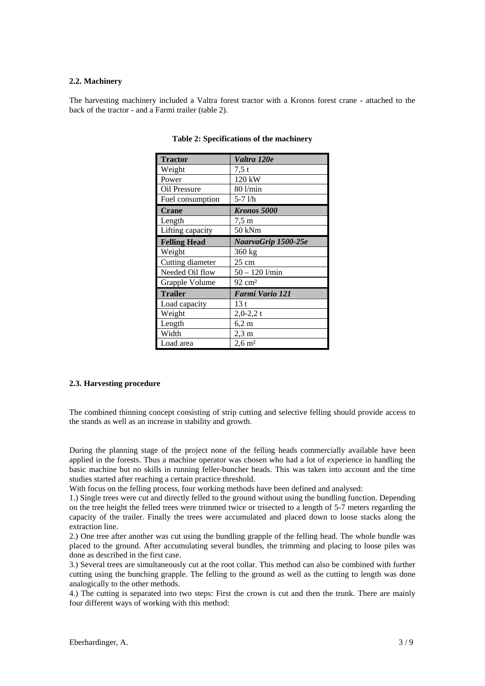### **2.2. Machinery**

The harvesting machinery included a Valtra forest tractor with a Kronos forest crane - attached to the back of the tractor - and a Farmi trailer (table 2).

| <b>Tractor</b>      | Valtra 120e           |
|---------------------|-----------------------|
| Weight              | 7.5t                  |
| Power               | 120 kW                |
| Oil Pressure        | 80 l/min              |
| Fuel consumption    | $5-71/h$              |
| <b>Crane</b>        | <b>Kronos 5000</b>    |
| Length              | $7.5 \text{ m}$       |
| Lifting capacity    | 50 kNm                |
| <b>Felling Head</b> | NaarvaGrip 1500-25e   |
| Weight              | 360 kg                |
| Cutting diameter    | 25 cm                 |
| Needed Oil flow     | 50 – 120 1/min        |
| Grapple Volume      | $92 \text{ cm}^2$     |
| <b>Trailer</b>      | Farmi Vario 121       |
| Load capacity       | 13t                   |
| Weight              | $2,0-2,2$ t           |
| Length              | 6,2 m                 |
| Width               | $2,3 \text{ m}$       |
| Load area           | $2,6 \; \mathrm{m}^2$ |

### **Table 2: Specifications of the machinery**

# **2.3. Harvesting procedure**

The combined thinning concept consisting of strip cutting and selective felling should provide access to the stands as well as an increase in stability and growth.

During the planning stage of the project none of the felling heads commercially available have been applied in the forests. Thus a machine operator was chosen who had a lot of experience in handling the basic machine but no skills in running feller-buncher heads. This was taken into account and the time studies started after reaching a certain practice threshold.

With focus on the felling process, four working methods have been defined and analysed:

1.) Single trees were cut and directly felled to the ground without using the bundling function. Depending on the tree height the felled trees were trimmed twice or trisected to a length of 5-7 meters regarding the capacity of the trailer. Finally the trees were accumulated and placed down to loose stacks along the extraction line.

2.) One tree after another was cut using the bundling grapple of the felling head. The whole bundle was placed to the ground. After accumulating several bundles, the trimming and placing to loose piles was done as described in the first case.

3.) Several trees are simultaneously cut at the root collar. This method can also be combined with further cutting using the bunching grapple. The felling to the ground as well as the cutting to length was done analogically to the other methods.

4.) The cutting is separated into two steps: First the crown is cut and then the trunk. There are mainly four different ways of working with this method: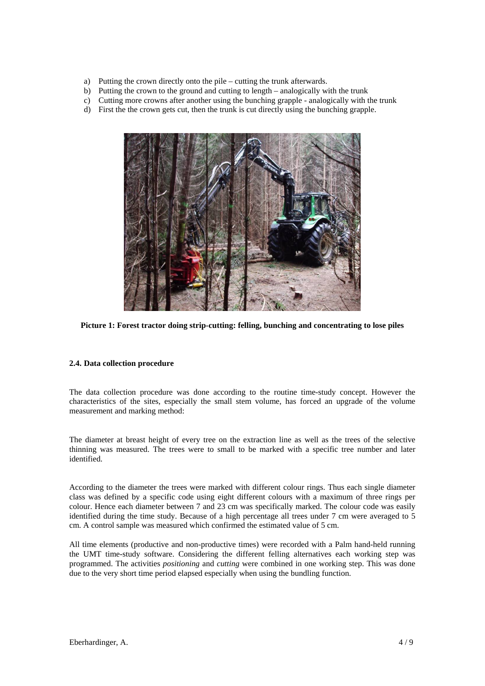- a) Putting the crown directly onto the pile cutting the trunk afterwards.
- b) Putting the crown to the ground and cutting to length analogically with the trunk
- c) Cutting more crowns after another using the bunching grapple analogically with the trunk
- d) First the the crown gets cut, then the trunk is cut directly using the bunching grapple.



**Picture 1: Forest tractor doing strip-cutting: felling, bunching and concentrating to lose piles** 

# **2.4. Data collection procedure**

The data collection procedure was done according to the routine time-study concept. However the characteristics of the sites, especially the small stem volume, has forced an upgrade of the volume measurement and marking method:

The diameter at breast height of every tree on the extraction line as well as the trees of the selective thinning was measured. The trees were to small to be marked with a specific tree number and later identified.

According to the diameter the trees were marked with different colour rings. Thus each single diameter class was defined by a specific code using eight different colours with a maximum of three rings per colour. Hence each diameter between 7 and 23 cm was specifically marked. The colour code was easily identified during the time study. Because of a high percentage all trees under 7 cm were averaged to 5 cm. A control sample was measured which confirmed the estimated value of 5 cm.

All time elements (productive and non-productive times) were recorded with a Palm hand-held running the UMT time-study software. Considering the different felling alternatives each working step was programmed. The activities *positioning* and *cutting* were combined in one working step. This was done due to the very short time period elapsed especially when using the bundling function.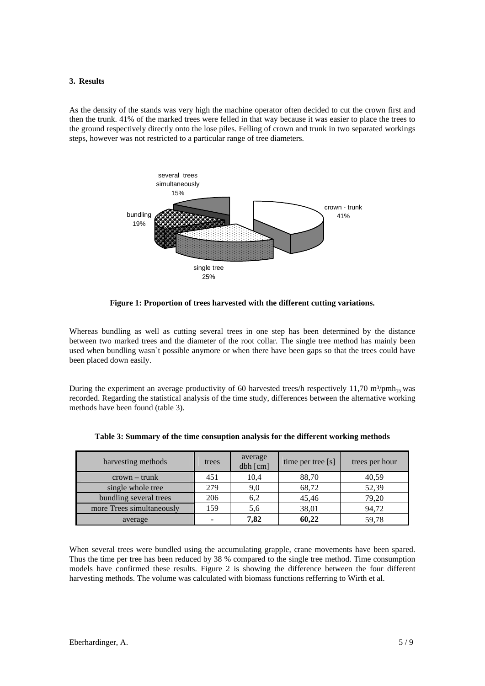#### **3. Results**

As the density of the stands was very high the machine operator often decided to cut the crown first and then the trunk. 41% of the marked trees were felled in that way because it was easier to place the trees to the ground respectively directly onto the lose piles. Felling of crown and trunk in two separated workings steps, however was not restricted to a particular range of tree diameters.



**Figure 1: Proportion of trees harvested with the different cutting variations.**

Whereas bundling as well as cutting several trees in one step has been determined by the distance between two marked trees and the diameter of the root collar. The single tree method has mainly been used when bundling wasn`t possible anymore or when there have been gaps so that the trees could have been placed down easily.

During the experiment an average productivity of 60 harvested trees/h respectively 11,70 m<sup>3</sup>/pmh<sub>15</sub> was recorded. Regarding the statistical analysis of the time study, differences between the alternative working methods have been found (table 3).

| harvesting methods        | trees | average<br>dbh [cm] | time per tree [s] | trees per hour |
|---------------------------|-------|---------------------|-------------------|----------------|
| $crown - trunk$           | 451   | 10,4                | 88,70             | 40,59          |
| single whole tree         | 279   | 9,0                 | 68,72             | 52,39          |
| bundling several trees    | 206   | 6,2                 | 45,46             | 79,20          |
| more Trees simultaneously | 159   | 5,6                 | 38,01             | 94,72          |
| average                   |       | 7,82                | 60,22             | 59,78          |

|  |  |  | Table 3: Summary of the time consuption analysis for the different working methods |
|--|--|--|------------------------------------------------------------------------------------|
|  |  |  |                                                                                    |

When several trees were bundled using the accumulating grapple, crane movements have been spared. Thus the time per tree has been reduced by 38 % compared to the single tree method. Time consumption models have confirmed these results. Figure 2 is showing the difference between the four different harvesting methods. The volume was calculated with biomass functions refferring to Wirth et al.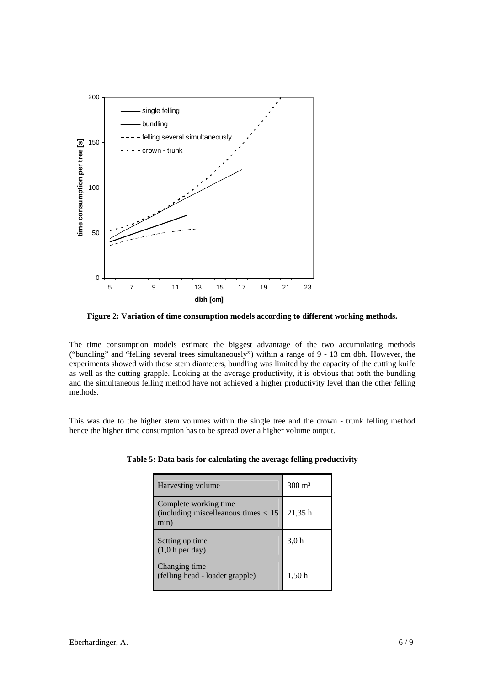

**Figure 2: Variation of time consumption models according to different working methods.**

The time consumption models estimate the biggest advantage of the two accumulating methods ("bundling" and "felling several trees simultaneously") within a range of 9 - 13 cm dbh. However, the experiments showed with those stem diameters, bundling was limited by the capacity of the cutting knife as well as the cutting grapple. Looking at the average productivity, it is obvious that both the bundling and the simultaneous felling method have not achieved a higher productivity level than the other felling methods.

This was due to the higher stem volumes within the single tree and the crown - trunk felling method hence the higher time consumption has to be spread over a higher volume output.

| Harvesting volume                                                        | $300 \text{ m}^3$ |
|--------------------------------------------------------------------------|-------------------|
| Complete working time<br>(including miscelleanous times $< 15$ )<br>min) | 21,35h            |
| Setting up time<br>$(1,0 h)$ per day)                                    | 3,0h              |
| Changing time<br>(felling head - loader grapple)                         | 1,50 h            |

|  |  |  | Table 5: Data basis for calculating the average felling productivity |
|--|--|--|----------------------------------------------------------------------|
|  |  |  |                                                                      |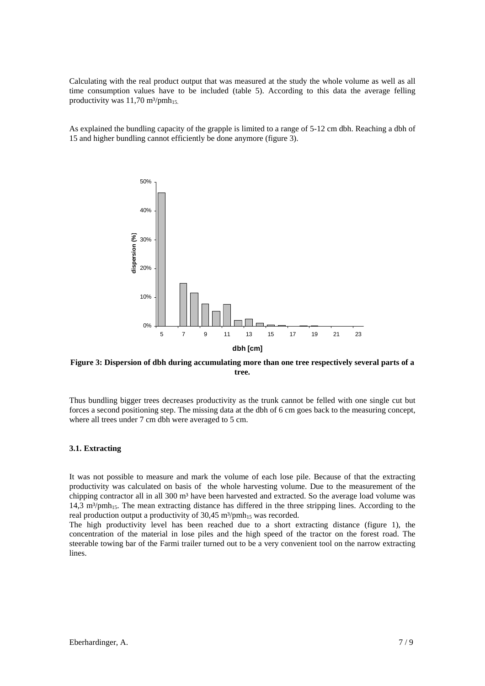Calculating with the real product output that was measured at the study the whole volume as well as all time consumption values have to be included (table 5). According to this data the average felling productivity was  $11,70$  m<sup>3</sup>/pmh<sub>15</sub>.

As explained the bundling capacity of the grapple is limited to a range of 5-12 cm dbh. Reaching a dbh of 15 and higher bundling cannot efficiently be done anymore (figure 3).



**Figure 3: Dispersion of dbh during accumulating more than one tree respectively several parts of a tree.** 

Thus bundling bigger trees decreases productivity as the trunk cannot be felled with one single cut but forces a second positioning step. The missing data at the dbh of 6 cm goes back to the measuring concept, where all trees under 7 cm dbh were averaged to 5 cm.

### **3.1. Extracting**

It was not possible to measure and mark the volume of each lose pile. Because of that the extracting productivity was calculated on basis of the whole harvesting volume. Due to the measurement of the chipping contractor all in all 300 m<sup>3</sup> have been harvested and extracted. So the average load volume was 14,3 m<sup>3</sup>/pmh<sub>15</sub>. The mean extracting distance has differed in the three stripping lines. According to the real production output a productivity of  $30,45 \text{ m}^3/\text{pmh}_1$ <sub>5</sub> was recorded.

The high productivity level has been reached due to a short extracting distance (figure 1), the concentration of the material in lose piles and the high speed of the tractor on the forest road. The steerable towing bar of the Farmi trailer turned out to be a very convenient tool on the narrow extracting lines.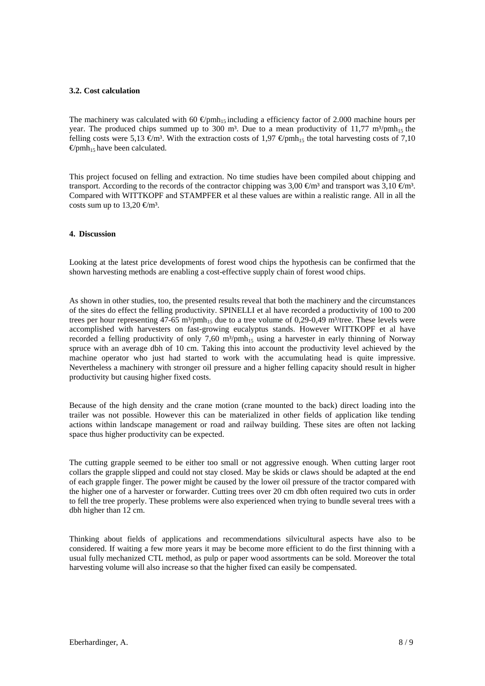### **3.2. Cost calculation**

The machinery was calculated with 60  $\oplus$ pmh<sub>15</sub> including a efficiency factor of 2.000 machine hours per year. The produced chips summed up to 300 m<sup>3</sup>. Due to a mean productivity of 11,77 m<sup>3</sup>/pmh<sub>15</sub> the felling costs were 5,13  $\epsilon$ m<sup>3</sup>. With the extraction costs of 1,97  $\epsilon$ pmh<sub>15</sub> the total harvesting costs of 7,10  $\Theta$ pmh<sub>15</sub> have been calculated.

This project focused on felling and extraction. No time studies have been compiled about chipping and transport. According to the records of the contractor chipping was 3,00  $\epsilon$ m<sup>3</sup> and transport was 3,10  $\epsilon$ m<sup>3</sup>. Compared with WITTKOPF and STAMPFER et al these values are within a realistic range. All in all the costs sum up to 13,20  $\text{\textsterling}m^3$ .

### **4. Discussion**

Looking at the latest price developments of forest wood chips the hypothesis can be confirmed that the shown harvesting methods are enabling a cost-effective supply chain of forest wood chips.

As shown in other studies, too, the presented results reveal that both the machinery and the circumstances of the sites do effect the felling productivity. SPINELLI et al have recorded a productivity of 100 to 200 trees per hour representing  $47-65$  m<sup>3</sup>/pmh<sub>15</sub> due to a tree volume of 0,29-0,49 m<sup>3</sup>/tree. These levels were accomplished with harvesters on fast-growing eucalyptus stands. However WITTKOPF et al have recorded a felling productivity of only 7,60  $m^3$ /pmh<sub>15</sub> using a harvester in early thinning of Norway spruce with an average dbh of 10 cm. Taking this into account the productivity level achieved by the machine operator who just had started to work with the accumulating head is quite impressive. Nevertheless a machinery with stronger oil pressure and a higher felling capacity should result in higher productivity but causing higher fixed costs.

Because of the high density and the crane motion (crane mounted to the back) direct loading into the trailer was not possible. However this can be materialized in other fields of application like tending actions within landscape management or road and railway building. These sites are often not lacking space thus higher productivity can be expected.

The cutting grapple seemed to be either too small or not aggressive enough. When cutting larger root collars the grapple slipped and could not stay closed. May be skids or claws should be adapted at the end of each grapple finger. The power might be caused by the lower oil pressure of the tractor compared with the higher one of a harvester or forwarder. Cutting trees over 20 cm dbh often required two cuts in order to fell the tree properly. These problems were also experienced when trying to bundle several trees with a dbh higher than 12 cm.

Thinking about fields of applications and recommendations silvicultural aspects have also to be considered. If waiting a few more years it may be become more efficient to do the first thinning with a usual fully mechanized CTL method, as pulp or paper wood assortments can be sold. Moreover the total harvesting volume will also increase so that the higher fixed can easily be compensated.